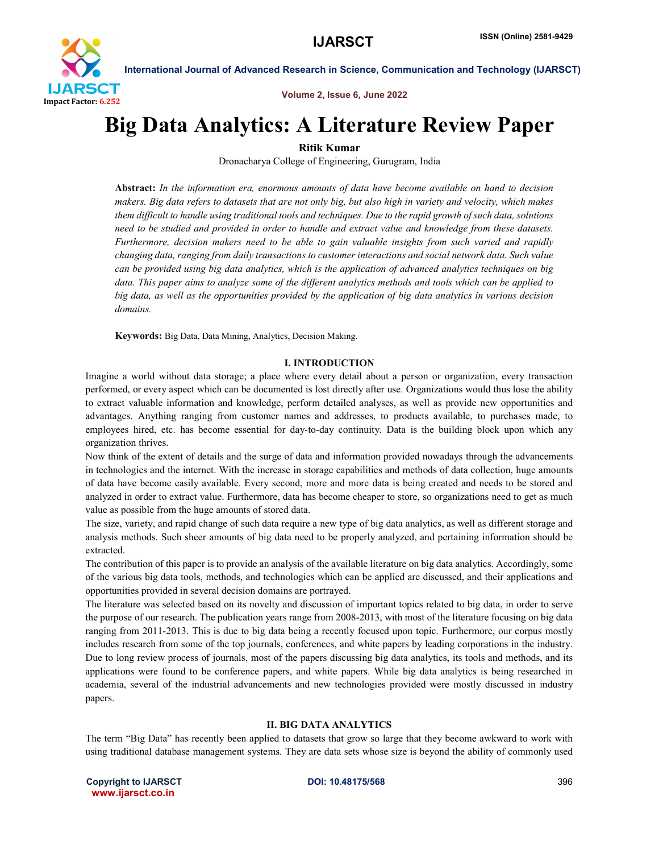

Volume 2, Issue 6, June 2022

# Big Data Analytics: A Literature Review Paper

Ritik Kumar

Dronacharya College of Engineering, Gurugram, India

Abstract: *In the information era, enormous amounts of data have become available on hand to decision makers. Big data refers to datasets that are not only big, but also high in variety and velocity, which makes them difficult to handle using traditional tools and techniques. Due to the rapid growth of such data, solutions need to be studied and provided in order to handle and extract value and knowledge from these datasets. Furthermore, decision makers need to be able to gain valuable insights from such varied and rapidly changing data, ranging from daily transactions to customer interactions and social network data. Such value can be provided using big data analytics, which is the application of advanced analytics techniques on big data. This paper aims to analyze some of the different analytics methods and tools which can be applied to big data, as well as the opportunities provided by the application of big data analytics in various decision domains.*

Keywords: Big Data, Data Mining, Analytics, Decision Making.

# I. INTRODUCTION

Imagine a world without data storage; a place where every detail about a person or organization, every transaction performed, or every aspect which can be documented is lost directly after use. Organizations would thus lose the ability to extract valuable information and knowledge, perform detailed analyses, as well as provide new opportunities and advantages. Anything ranging from customer names and addresses, to products available, to purchases made, to employees hired, etc. has become essential for day-to-day continuity. Data is the building block upon which any organization thrives.

Now think of the extent of details and the surge of data and information provided nowadays through the advancements in technologies and the internet. With the increase in storage capabilities and methods of data collection, huge amounts of data have become easily available. Every second, more and more data is being created and needs to be stored and analyzed in order to extract value. Furthermore, data has become cheaper to store, so organizations need to get as much value as possible from the huge amounts of stored data.

The size, variety, and rapid change of such data require a new type of big data analytics, as well as different storage and analysis methods. Such sheer amounts of big data need to be properly analyzed, and pertaining information should be extracted.

The contribution of this paper is to provide an analysis of the available literature on big data analytics. Accordingly, some of the various big data tools, methods, and technologies which can be applied are discussed, and their applications and opportunities provided in several decision domains are portrayed.

The literature was selected based on its novelty and discussion of important topics related to big data, in order to serve the purpose of our research. The publication years range from 2008-2013, with most of the literature focusing on big data ranging from 2011-2013. This is due to big data being a recently focused upon topic. Furthermore, our corpus mostly includes research from some of the top journals, conferences, and white papers by leading corporations in the industry. Due to long review process of journals, most of the papers discussing big data analytics, its tools and methods, and its applications were found to be conference papers, and white papers. While big data analytics is being researched in academia, several of the industrial advancements and new technologies provided were mostly discussed in industry papers.

# II. BIG DATA ANALYTICS

The term "Big Data" has recently been applied to datasets that grow so large that they become awkward to work with using traditional database management systems. They are data sets whose size is beyond the ability of commonly used

Copyright to IJARSCT **DOI: 10.48175/568** 396 www.ijarsct.co.in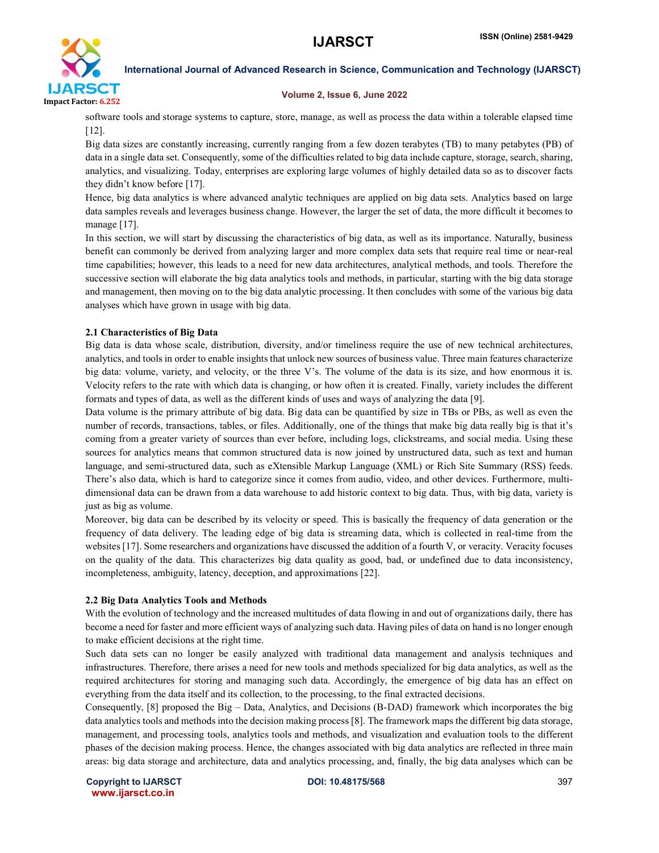

### Volume 2, Issue 6, June 2022

software tools and storage systems to capture, store, manage, as well as process the data within a tolerable elapsed time [12].

Big data sizes are constantly increasing, currently ranging from a few dozen terabytes (TB) to many petabytes (PB) of data in a single data set. Consequently, some of the difficulties related to big data include capture, storage, search, sharing, analytics, and visualizing. Today, enterprises are exploring large volumes of highly detailed data so as to discover facts they didn't know before [17].

Hence, big data analytics is where advanced analytic techniques are applied on big data sets. Analytics based on large data samples reveals and leverages business change. However, the larger the set of data, the more difficult it becomes to manage [17].

In this section, we will start by discussing the characteristics of big data, as well as its importance. Naturally, business benefit can commonly be derived from analyzing larger and more complex data sets that require real time or near-real time capabilities; however, this leads to a need for new data architectures, analytical methods, and tools. Therefore the successive section will elaborate the big data analytics tools and methods, in particular, starting with the big data storage and management, then moving on to the big data analytic processing. It then concludes with some of the various big data analyses which have grown in usage with big data.

# 2.1 Characteristics of Big Data

Big data is data whose scale, distribution, diversity, and/or timeliness require the use of new technical architectures, analytics, and tools in order to enable insights that unlock new sources of business value. Three main features characterize big data: volume, variety, and velocity, or the three V's. The volume of the data is its size, and how enormous it is. Velocity refers to the rate with which data is changing, or how often it is created. Finally, variety includes the different formats and types of data, as well as the different kinds of uses and ways of analyzing the data [9].

Data volume is the primary attribute of big data. Big data can be quantified by size in TBs or PBs, as well as even the number of records, transactions, tables, or files. Additionally, one of the things that make big data really big is that it's coming from a greater variety of sources than ever before, including logs, clickstreams, and social media. Using these sources for analytics means that common structured data is now joined by unstructured data, such as text and human language, and semi-structured data, such as eXtensible Markup Language (XML) or Rich Site Summary (RSS) feeds. There's also data, which is hard to categorize since it comes from audio, video, and other devices. Furthermore, multidimensional data can be drawn from a data warehouse to add historic context to big data. Thus, with big data, variety is just as big as volume.

Moreover, big data can be described by its velocity or speed. This is basically the frequency of data generation or the frequency of data delivery. The leading edge of big data is streaming data, which is collected in real-time from the websites [17]. Some researchers and organizations have discussed the addition of a fourth V, or veracity. Veracity focuses on the quality of the data. This characterizes big data quality as good, bad, or undefined due to data inconsistency, incompleteness, ambiguity, latency, deception, and approximations [22].

# 2.2 Big Data Analytics Tools and Methods

With the evolution of technology and the increased multitudes of data flowing in and out of organizations daily, there has become a need for faster and more efficient ways of analyzing such data. Having piles of data on hand is no longer enough to make efficient decisions at the right time.

Such data sets can no longer be easily analyzed with traditional data management and analysis techniques and infrastructures. Therefore, there arises a need for new tools and methods specialized for big data analytics, as well as the required architectures for storing and managing such data. Accordingly, the emergence of big data has an effect on everything from the data itself and its collection, to the processing, to the final extracted decisions.

Consequently, [8] proposed the Big – Data, Analytics, and Decisions (B-DAD) framework which incorporates the big data analytics tools and methods into the decision making process [8]. The framework maps the different big data storage, management, and processing tools, analytics tools and methods, and visualization and evaluation tools to the different phases of the decision making process. Hence, the changes associated with big data analytics are reflected in three main areas: big data storage and architecture, data and analytics processing, and, finally, the big data analyses which can be

Copyright to IJARSCT **DOI: 10.48175/568** 397 www.ijarsct.co.in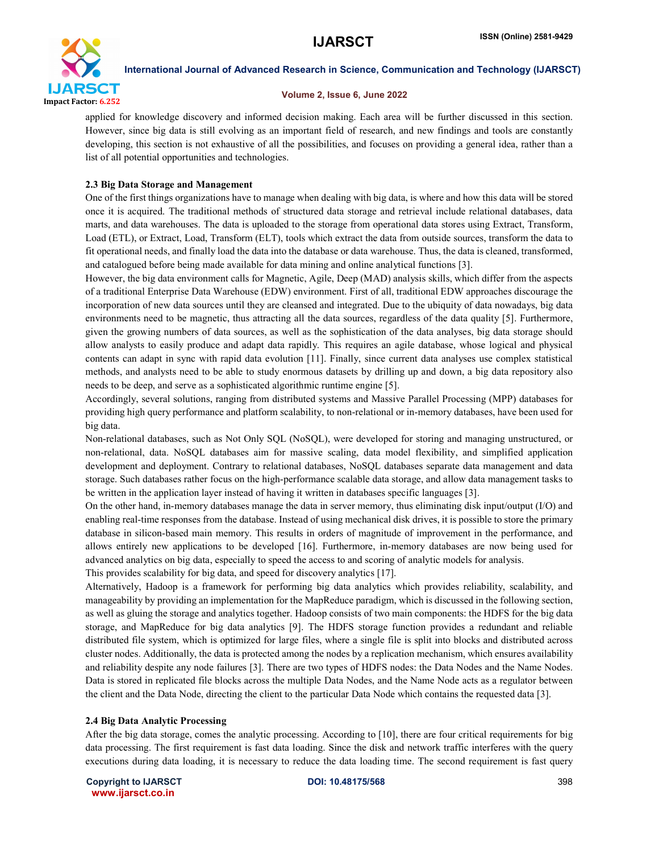

# Volume 2, Issue 6, June 2022

applied for knowledge discovery and informed decision making. Each area will be further discussed in this section. However, since big data is still evolving as an important field of research, and new findings and tools are constantly developing, this section is not exhaustive of all the possibilities, and focuses on providing a general idea, rather than a list of all potential opportunities and technologies.

# 2.3 Big Data Storage and Management

One of the first things organizations have to manage when dealing with big data, is where and how this data will be stored once it is acquired. The traditional methods of structured data storage and retrieval include relational databases, data marts, and data warehouses. The data is uploaded to the storage from operational data stores using Extract, Transform, Load (ETL), or Extract, Load, Transform (ELT), tools which extract the data from outside sources, transform the data to fit operational needs, and finally load the data into the database or data warehouse. Thus, the data is cleaned, transformed, and catalogued before being made available for data mining and online analytical functions [3].

However, the big data environment calls for Magnetic, Agile, Deep (MAD) analysis skills, which differ from the aspects of a traditional Enterprise Data Warehouse (EDW) environment. First of all, traditional EDW approaches discourage the incorporation of new data sources until they are cleansed and integrated. Due to the ubiquity of data nowadays, big data environments need to be magnetic, thus attracting all the data sources, regardless of the data quality [5]. Furthermore, given the growing numbers of data sources, as well as the sophistication of the data analyses, big data storage should allow analysts to easily produce and adapt data rapidly. This requires an agile database, whose logical and physical contents can adapt in sync with rapid data evolution [11]. Finally, since current data analyses use complex statistical methods, and analysts need to be able to study enormous datasets by drilling up and down, a big data repository also needs to be deep, and serve as a sophisticated algorithmic runtime engine [5].

Accordingly, several solutions, ranging from distributed systems and Massive Parallel Processing (MPP) databases for providing high query performance and platform scalability, to non-relational or in-memory databases, have been used for big data.

Non-relational databases, such as Not Only SQL (NoSQL), were developed for storing and managing unstructured, or non-relational, data. NoSQL databases aim for massive scaling, data model flexibility, and simplified application development and deployment. Contrary to relational databases, NoSQL databases separate data management and data storage. Such databases rather focus on the high-performance scalable data storage, and allow data management tasks to be written in the application layer instead of having it written in databases specific languages [3].

On the other hand, in-memory databases manage the data in server memory, thus eliminating disk input/output (I/O) and enabling real-time responses from the database. Instead of using mechanical disk drives, it is possible to store the primary database in silicon-based main memory. This results in orders of magnitude of improvement in the performance, and allows entirely new applications to be developed [16]. Furthermore, in-memory databases are now being used for advanced analytics on big data, especially to speed the access to and scoring of analytic models for analysis.

This provides scalability for big data, and speed for discovery analytics [17].

Alternatively, Hadoop is a framework for performing big data analytics which provides reliability, scalability, and manageability by providing an implementation for the MapReduce paradigm, which is discussed in the following section, as well as gluing the storage and analytics together. Hadoop consists of two main components: the HDFS for the big data storage, and MapReduce for big data analytics [9]. The HDFS storage function provides a redundant and reliable distributed file system, which is optimized for large files, where a single file is split into blocks and distributed across cluster nodes. Additionally, the data is protected among the nodes by a replication mechanism, which ensures availability and reliability despite any node failures [3]. There are two types of HDFS nodes: the Data Nodes and the Name Nodes. Data is stored in replicated file blocks across the multiple Data Nodes, and the Name Node acts as a regulator between the client and the Data Node, directing the client to the particular Data Node which contains the requested data [3].

# 2.4 Big Data Analytic Processing

After the big data storage, comes the analytic processing. According to [10], there are four critical requirements for big data processing. The first requirement is fast data loading. Since the disk and network traffic interferes with the query executions during data loading, it is necessary to reduce the data loading time. The second requirement is fast query

Copyright to IJARSCT **DOI: 10.48175/568** 398 www.ijarsct.co.in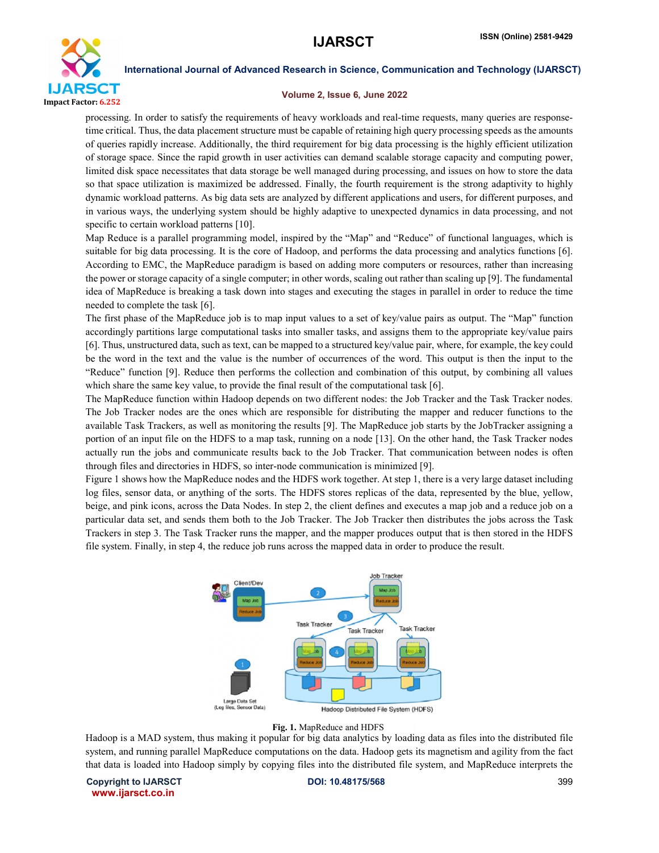

#### Volume 2, Issue 6, June 2022

processing. In order to satisfy the requirements of heavy workloads and real-time requests, many queries are responsetime critical. Thus, the data placement structure must be capable of retaining high query processing speeds as the amounts of queries rapidly increase. Additionally, the third requirement for big data processing is the highly efficient utilization of storage space. Since the rapid growth in user activities can demand scalable storage capacity and computing power, limited disk space necessitates that data storage be well managed during processing, and issues on how to store the data so that space utilization is maximized be addressed. Finally, the fourth requirement is the strong adaptivity to highly dynamic workload patterns. As big data sets are analyzed by different applications and users, for different purposes, and in various ways, the underlying system should be highly adaptive to unexpected dynamics in data processing, and not specific to certain workload patterns [10].

Map Reduce is a parallel programming model, inspired by the "Map" and "Reduce" of functional languages, which is suitable for big data processing. It is the core of Hadoop, and performs the data processing and analytics functions [6]. According to EMC, the MapReduce paradigm is based on adding more computers or resources, rather than increasing the power or storage capacity of a single computer; in other words, scaling out rather than scaling up [9]. The fundamental idea of MapReduce is breaking a task down into stages and executing the stages in parallel in order to reduce the time needed to complete the task [6].

The first phase of the MapReduce job is to map input values to a set of key/value pairs as output. The "Map" function accordingly partitions large computational tasks into smaller tasks, and assigns them to the appropriate key/value pairs [6]. Thus, unstructured data, such as text, can be mapped to a structured key/value pair, where, for example, the key could be the word in the text and the value is the number of occurrences of the word. This output is then the input to the "Reduce" function [9]. Reduce then performs the collection and combination of this output, by combining all values which share the same key value, to provide the final result of the computational task [6].

The MapReduce function within Hadoop depends on two different nodes: the Job Tracker and the Task Tracker nodes. The Job Tracker nodes are the ones which are responsible for distributing the mapper and reducer functions to the available Task Trackers, as well as monitoring the results [9]. The MapReduce job starts by the JobTracker assigning a portion of an input file on the HDFS to a map task, running on a node [13]. On the other hand, the Task Tracker nodes actually run the jobs and communicate results back to the Job Tracker. That communication between nodes is often through files and directories in HDFS, so inter-node communication is minimized [9].

Figure 1 shows how the MapReduce nodes and the HDFS work together. At step 1, there is a very large dataset including log files, sensor data, or anything of the sorts. The HDFS stores replicas of the data, represented by the blue, yellow, beige, and pink icons, across the Data Nodes. In step 2, the client defines and executes a map job and a reduce job on a particular data set, and sends them both to the Job Tracker. The Job Tracker then distributes the jobs across the Task Trackers in step 3. The Task Tracker runs the mapper, and the mapper produces output that is then stored in the HDFS file system. Finally, in step 4, the reduce job runs across the mapped data in order to produce the result.





Hadoop is a MAD system, thus making it popular for big data analytics by loading data as files into the distributed file system, and running parallel MapReduce computations on the data. Hadoop gets its magnetism and agility from the fact that data is loaded into Hadoop simply by copying files into the distributed file system, and MapReduce interprets the

Copyright to IJARSCT **DOI: 10.48175/568** 399 www.ijarsct.co.in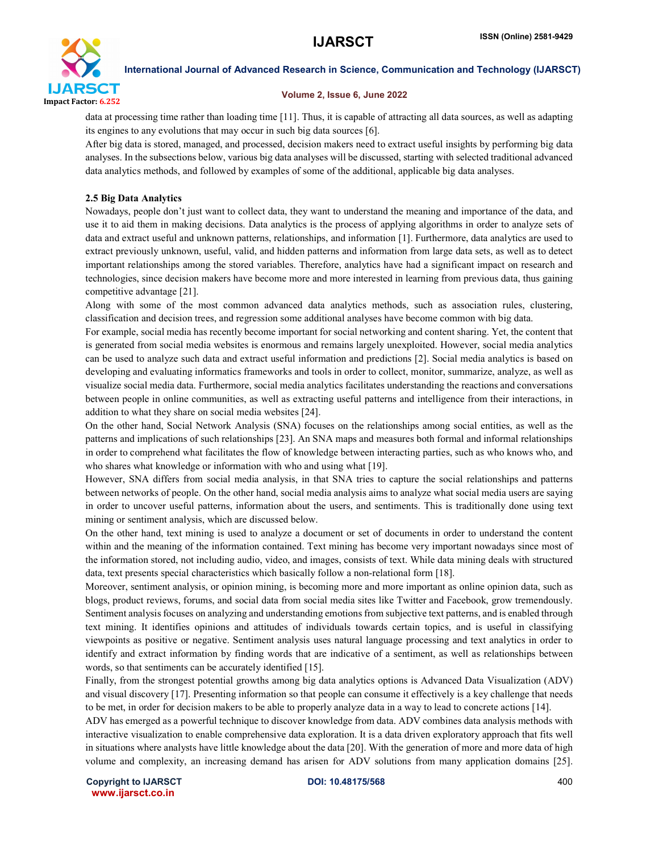

#### Volume 2, Issue 6, June 2022

data at processing time rather than loading time [11]. Thus, it is capable of attracting all data sources, as well as adapting its engines to any evolutions that may occur in such big data sources [6].

After big data is stored, managed, and processed, decision makers need to extract useful insights by performing big data analyses. In the subsections below, various big data analyses will be discussed, starting with selected traditional advanced data analytics methods, and followed by examples of some of the additional, applicable big data analyses.

# 2.5 Big Data Analytics

Nowadays, people don't just want to collect data, they want to understand the meaning and importance of the data, and use it to aid them in making decisions. Data analytics is the process of applying algorithms in order to analyze sets of data and extract useful and unknown patterns, relationships, and information [1]. Furthermore, data analytics are used to extract previously unknown, useful, valid, and hidden patterns and information from large data sets, as well as to detect important relationships among the stored variables. Therefore, analytics have had a significant impact on research and technologies, since decision makers have become more and more interested in learning from previous data, thus gaining competitive advantage [21].

Along with some of the most common advanced data analytics methods, such as association rules, clustering, classification and decision trees, and regression some additional analyses have become common with big data.

For example, social media has recently become important for social networking and content sharing. Yet, the content that is generated from social media websites is enormous and remains largely unexploited. However, social media analytics can be used to analyze such data and extract useful information and predictions [2]. Social media analytics is based on developing and evaluating informatics frameworks and tools in order to collect, monitor, summarize, analyze, as well as visualize social media data. Furthermore, social media analytics facilitates understanding the reactions and conversations between people in online communities, as well as extracting useful patterns and intelligence from their interactions, in addition to what they share on social media websites [24].

On the other hand, Social Network Analysis (SNA) focuses on the relationships among social entities, as well as the patterns and implications of such relationships [23]. An SNA maps and measures both formal and informal relationships in order to comprehend what facilitates the flow of knowledge between interacting parties, such as who knows who, and who shares what knowledge or information with who and using what [19].

However, SNA differs from social media analysis, in that SNA tries to capture the social relationships and patterns between networks of people. On the other hand, social media analysis aims to analyze what social media users are saying in order to uncover useful patterns, information about the users, and sentiments. This is traditionally done using text mining or sentiment analysis, which are discussed below.

On the other hand, text mining is used to analyze a document or set of documents in order to understand the content within and the meaning of the information contained. Text mining has become very important nowadays since most of the information stored, not including audio, video, and images, consists of text. While data mining deals with structured data, text presents special characteristics which basically follow a non-relational form [18].

Moreover, sentiment analysis, or opinion mining, is becoming more and more important as online opinion data, such as blogs, product reviews, forums, and social data from social media sites like Twitter and Facebook, grow tremendously. Sentiment analysis focuses on analyzing and understanding emotions from subjective text patterns, and is enabled through text mining. It identifies opinions and attitudes of individuals towards certain topics, and is useful in classifying viewpoints as positive or negative. Sentiment analysis uses natural language processing and text analytics in order to identify and extract information by finding words that are indicative of a sentiment, as well as relationships between words, so that sentiments can be accurately identified [15].

Finally, from the strongest potential growths among big data analytics options is Advanced Data Visualization (ADV) and visual discovery [17]. Presenting information so that people can consume it effectively is a key challenge that needs to be met, in order for decision makers to be able to properly analyze data in a way to lead to concrete actions [14].

ADV has emerged as a powerful technique to discover knowledge from data. ADV combines data analysis methods with interactive visualization to enable comprehensive data exploration. It is a data driven exploratory approach that fits well in situations where analysts have little knowledge about the data [20]. With the generation of more and more data of high volume and complexity, an increasing demand has arisen for ADV solutions from many application domains [25].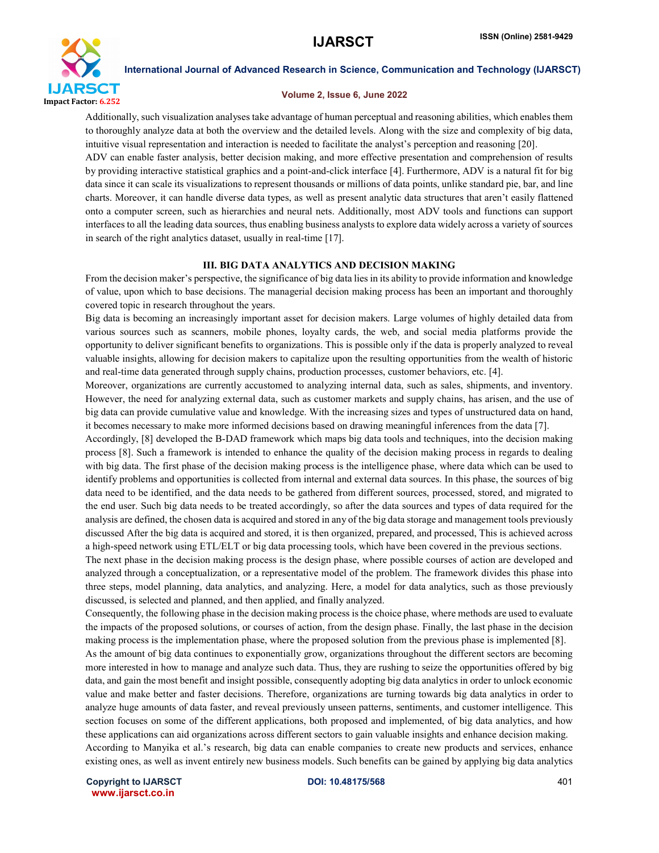

#### Volume 2, Issue 6, June 2022

Additionally, such visualization analyses take advantage of human perceptual and reasoning abilities, which enables them to thoroughly analyze data at both the overview and the detailed levels. Along with the size and complexity of big data, intuitive visual representation and interaction is needed to facilitate the analyst's perception and reasoning [20].

ADV can enable faster analysis, better decision making, and more effective presentation and comprehension of results by providing interactive statistical graphics and a point-and-click interface [4]. Furthermore, ADV is a natural fit for big data since it can scale its visualizations to represent thousands or millions of data points, unlike standard pie, bar, and line charts. Moreover, it can handle diverse data types, as well as present analytic data structures that aren't easily flattened onto a computer screen, such as hierarchies and neural nets. Additionally, most ADV tools and functions can support interfaces to all the leading data sources, thus enabling business analysts to explore data widely across a variety of sources in search of the right analytics dataset, usually in real-time [17].

# III. BIG DATA ANALYTICS AND DECISION MAKING

From the decision maker's perspective, the significance of big data lies in its ability to provide information and knowledge of value, upon which to base decisions. The managerial decision making process has been an important and thoroughly covered topic in research throughout the years.

Big data is becoming an increasingly important asset for decision makers. Large volumes of highly detailed data from various sources such as scanners, mobile phones, loyalty cards, the web, and social media platforms provide the opportunity to deliver significant benefits to organizations. This is possible only if the data is properly analyzed to reveal valuable insights, allowing for decision makers to capitalize upon the resulting opportunities from the wealth of historic and real-time data generated through supply chains, production processes, customer behaviors, etc. [4].

Moreover, organizations are currently accustomed to analyzing internal data, such as sales, shipments, and inventory. However, the need for analyzing external data, such as customer markets and supply chains, has arisen, and the use of big data can provide cumulative value and knowledge. With the increasing sizes and types of unstructured data on hand, it becomes necessary to make more informed decisions based on drawing meaningful inferences from the data [7].

Accordingly, [8] developed the B-DAD framework which maps big data tools and techniques, into the decision making process [8]. Such a framework is intended to enhance the quality of the decision making process in regards to dealing with big data. The first phase of the decision making process is the intelligence phase, where data which can be used to identify problems and opportunities is collected from internal and external data sources. In this phase, the sources of big data need to be identified, and the data needs to be gathered from different sources, processed, stored, and migrated to the end user. Such big data needs to be treated accordingly, so after the data sources and types of data required for the analysis are defined, the chosen data is acquired and stored in any of the big data storage and management tools previously discussed After the big data is acquired and stored, it is then organized, prepared, and processed, This is achieved across a high-speed network using ETL/ELT or big data processing tools, which have been covered in the previous sections.

The next phase in the decision making process is the design phase, where possible courses of action are developed and analyzed through a conceptualization, or a representative model of the problem. The framework divides this phase into three steps, model planning, data analytics, and analyzing. Here, a model for data analytics, such as those previously discussed, is selected and planned, and then applied, and finally analyzed.

Consequently, the following phase in the decision making process is the choice phase, where methods are used to evaluate the impacts of the proposed solutions, or courses of action, from the design phase. Finally, the last phase in the decision making process is the implementation phase, where the proposed solution from the previous phase is implemented [8].

As the amount of big data continues to exponentially grow, organizations throughout the different sectors are becoming more interested in how to manage and analyze such data. Thus, they are rushing to seize the opportunities offered by big data, and gain the most benefit and insight possible, consequently adopting big data analytics in order to unlock economic value and make better and faster decisions. Therefore, organizations are turning towards big data analytics in order to analyze huge amounts of data faster, and reveal previously unseen patterns, sentiments, and customer intelligence. This section focuses on some of the different applications, both proposed and implemented, of big data analytics, and how these applications can aid organizations across different sectors to gain valuable insights and enhance decision making. According to Manyika et al.'s research, big data can enable companies to create new products and services, enhance existing ones, as well as invent entirely new business models. Such benefits can be gained by applying big data analytics

Copyright to IJARSCT **DOI: 10.48175/568** 401 www.ijarsct.co.in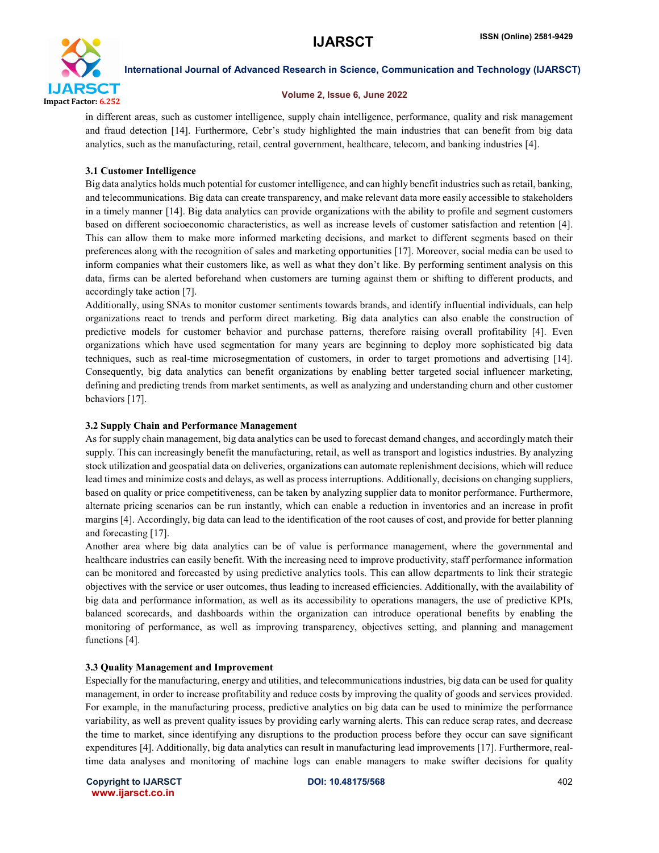

#### Volume 2, Issue 6, June 2022

in different areas, such as customer intelligence, supply chain intelligence, performance, quality and risk management and fraud detection [14]. Furthermore, Cebr's study highlighted the main industries that can benefit from big data analytics, such as the manufacturing, retail, central government, healthcare, telecom, and banking industries [4].

# 3.1 Customer Intelligence

Big data analytics holds much potential for customer intelligence, and can highly benefit industries such as retail, banking, and telecommunications. Big data can create transparency, and make relevant data more easily accessible to stakeholders in a timely manner [14]. Big data analytics can provide organizations with the ability to profile and segment customers based on different socioeconomic characteristics, as well as increase levels of customer satisfaction and retention [4]. This can allow them to make more informed marketing decisions, and market to different segments based on their preferences along with the recognition of sales and marketing opportunities [17]. Moreover, social media can be used to inform companies what their customers like, as well as what they don't like. By performing sentiment analysis on this data, firms can be alerted beforehand when customers are turning against them or shifting to different products, and accordingly take action [7].

Additionally, using SNAs to monitor customer sentiments towards brands, and identify influential individuals, can help organizations react to trends and perform direct marketing. Big data analytics can also enable the construction of predictive models for customer behavior and purchase patterns, therefore raising overall profitability [4]. Even organizations which have used segmentation for many years are beginning to deploy more sophisticated big data techniques, such as real-time microsegmentation of customers, in order to target promotions and advertising [14]. Consequently, big data analytics can benefit organizations by enabling better targeted social influencer marketing, defining and predicting trends from market sentiments, as well as analyzing and understanding churn and other customer behaviors [17].

# 3.2 Supply Chain and Performance Management

As for supply chain management, big data analytics can be used to forecast demand changes, and accordingly match their supply. This can increasingly benefit the manufacturing, retail, as well as transport and logistics industries. By analyzing stock utilization and geospatial data on deliveries, organizations can automate replenishment decisions, which will reduce lead times and minimize costs and delays, as well as process interruptions. Additionally, decisions on changing suppliers, based on quality or price competitiveness, can be taken by analyzing supplier data to monitor performance. Furthermore, alternate pricing scenarios can be run instantly, which can enable a reduction in inventories and an increase in profit margins [4]. Accordingly, big data can lead to the identification of the root causes of cost, and provide for better planning and forecasting [17].

Another area where big data analytics can be of value is performance management, where the governmental and healthcare industries can easily benefit. With the increasing need to improve productivity, staff performance information can be monitored and forecasted by using predictive analytics tools. This can allow departments to link their strategic objectives with the service or user outcomes, thus leading to increased efficiencies. Additionally, with the availability of big data and performance information, as well as its accessibility to operations managers, the use of predictive KPIs, balanced scorecards, and dashboards within the organization can introduce operational benefits by enabling the monitoring of performance, as well as improving transparency, objectives setting, and planning and management functions [4].

# 3.3 Quality Management and Improvement

Especially for the manufacturing, energy and utilities, and telecommunications industries, big data can be used for quality management, in order to increase profitability and reduce costs by improving the quality of goods and services provided. For example, in the manufacturing process, predictive analytics on big data can be used to minimize the performance variability, as well as prevent quality issues by providing early warning alerts. This can reduce scrap rates, and decrease the time to market, since identifying any disruptions to the production process before they occur can save significant expenditures [4]. Additionally, big data analytics can result in manufacturing lead improvements [17]. Furthermore, realtime data analyses and monitoring of machine logs can enable managers to make swifter decisions for quality

Copyright to IJARSCT DOI: 10.48175/568 402 www.ijarsct.co.in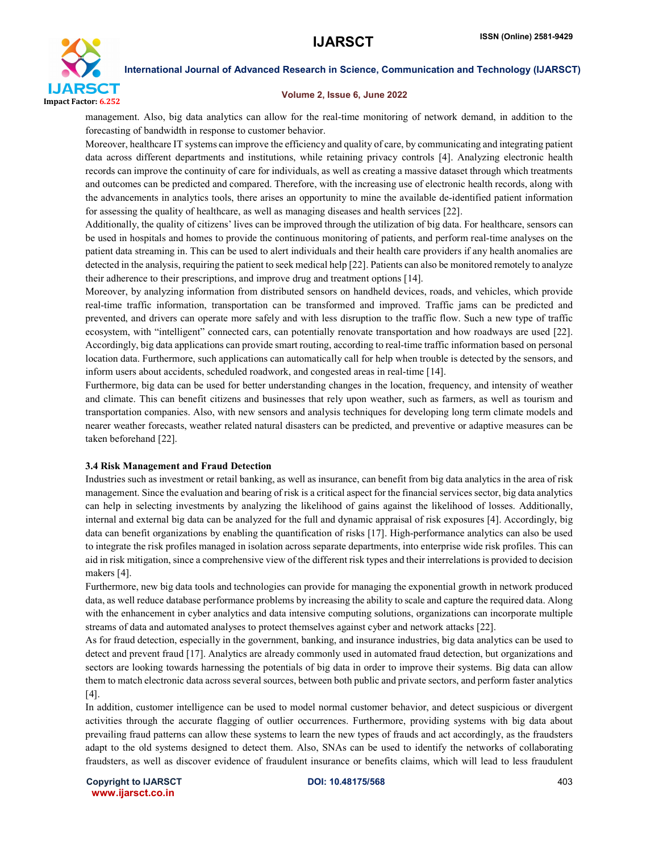

#### Volume 2, Issue 6, June 2022

management. Also, big data analytics can allow for the real-time monitoring of network demand, in addition to the forecasting of bandwidth in response to customer behavior.

Moreover, healthcare IT systems can improve the efficiency and quality of care, by communicating and integrating patient data across different departments and institutions, while retaining privacy controls [4]. Analyzing electronic health records can improve the continuity of care for individuals, as well as creating a massive dataset through which treatments and outcomes can be predicted and compared. Therefore, with the increasing use of electronic health records, along with the advancements in analytics tools, there arises an opportunity to mine the available de-identified patient information for assessing the quality of healthcare, as well as managing diseases and health services [22].

Additionally, the quality of citizens' lives can be improved through the utilization of big data. For healthcare, sensors can be used in hospitals and homes to provide the continuous monitoring of patients, and perform real-time analyses on the patient data streaming in. This can be used to alert individuals and their health care providers if any health anomalies are detected in the analysis, requiring the patient to seek medical help [22]. Patients can also be monitored remotely to analyze their adherence to their prescriptions, and improve drug and treatment options [14].

Moreover, by analyzing information from distributed sensors on handheld devices, roads, and vehicles, which provide real-time traffic information, transportation can be transformed and improved. Traffic jams can be predicted and prevented, and drivers can operate more safely and with less disruption to the traffic flow. Such a new type of traffic ecosystem, with "intelligent" connected cars, can potentially renovate transportation and how roadways are used [22]. Accordingly, big data applications can provide smart routing, according to real-time traffic information based on personal location data. Furthermore, such applications can automatically call for help when trouble is detected by the sensors, and inform users about accidents, scheduled roadwork, and congested areas in real-time [14].

Furthermore, big data can be used for better understanding changes in the location, frequency, and intensity of weather and climate. This can benefit citizens and businesses that rely upon weather, such as farmers, as well as tourism and transportation companies. Also, with new sensors and analysis techniques for developing long term climate models and nearer weather forecasts, weather related natural disasters can be predicted, and preventive or adaptive measures can be taken beforehand [22].

#### 3.4 Risk Management and Fraud Detection

Industries such as investment or retail banking, as well as insurance, can benefit from big data analytics in the area of risk management. Since the evaluation and bearing of risk is a critical aspect for the financial services sector, big data analytics can help in selecting investments by analyzing the likelihood of gains against the likelihood of losses. Additionally, internal and external big data can be analyzed for the full and dynamic appraisal of risk exposures [4]. Accordingly, big data can benefit organizations by enabling the quantification of risks [17]. High-performance analytics can also be used to integrate the risk profiles managed in isolation across separate departments, into enterprise wide risk profiles. This can aid in risk mitigation, since a comprehensive view of the different risk types and their interrelations is provided to decision makers [4].

Furthermore, new big data tools and technologies can provide for managing the exponential growth in network produced data, as well reduce database performance problems by increasing the ability to scale and capture the required data. Along with the enhancement in cyber analytics and data intensive computing solutions, organizations can incorporate multiple streams of data and automated analyses to protect themselves against cyber and network attacks [22].

As for fraud detection, especially in the government, banking, and insurance industries, big data analytics can be used to detect and prevent fraud [17]. Analytics are already commonly used in automated fraud detection, but organizations and sectors are looking towards harnessing the potentials of big data in order to improve their systems. Big data can allow them to match electronic data across several sources, between both public and private sectors, and perform faster analytics [4].

In addition, customer intelligence can be used to model normal customer behavior, and detect suspicious or divergent activities through the accurate flagging of outlier occurrences. Furthermore, providing systems with big data about prevailing fraud patterns can allow these systems to learn the new types of frauds and act accordingly, as the fraudsters adapt to the old systems designed to detect them. Also, SNAs can be used to identify the networks of collaborating fraudsters, as well as discover evidence of fraudulent insurance or benefits claims, which will lead to less fraudulent

Copyright to IJARSCT **DOI: 10.48175/568** 403 www.ijarsct.co.in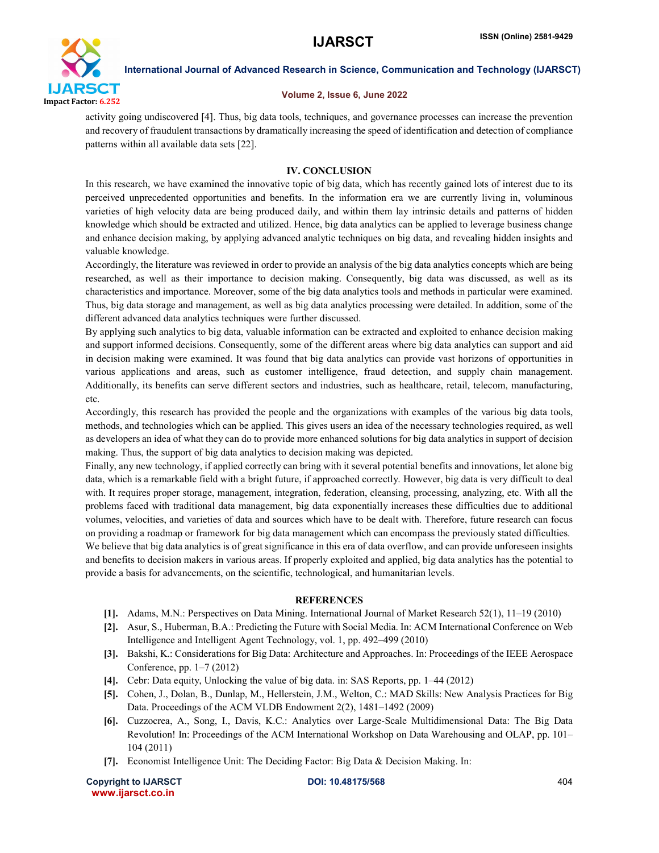

### Volume 2, Issue 6, June 2022

activity going undiscovered [4]. Thus, big data tools, techniques, and governance processes can increase the prevention and recovery of fraudulent transactions by dramatically increasing the speed of identification and detection of compliance patterns within all available data sets [22].

# IV. CONCLUSION

In this research, we have examined the innovative topic of big data, which has recently gained lots of interest due to its perceived unprecedented opportunities and benefits. In the information era we are currently living in, voluminous varieties of high velocity data are being produced daily, and within them lay intrinsic details and patterns of hidden knowledge which should be extracted and utilized. Hence, big data analytics can be applied to leverage business change and enhance decision making, by applying advanced analytic techniques on big data, and revealing hidden insights and valuable knowledge.

Accordingly, the literature was reviewed in order to provide an analysis of the big data analytics concepts which are being researched, as well as their importance to decision making. Consequently, big data was discussed, as well as its characteristics and importance. Moreover, some of the big data analytics tools and methods in particular were examined. Thus, big data storage and management, as well as big data analytics processing were detailed. In addition, some of the different advanced data analytics techniques were further discussed.

By applying such analytics to big data, valuable information can be extracted and exploited to enhance decision making and support informed decisions. Consequently, some of the different areas where big data analytics can support and aid in decision making were examined. It was found that big data analytics can provide vast horizons of opportunities in various applications and areas, such as customer intelligence, fraud detection, and supply chain management. Additionally, its benefits can serve different sectors and industries, such as healthcare, retail, telecom, manufacturing, etc.

Accordingly, this research has provided the people and the organizations with examples of the various big data tools, methods, and technologies which can be applied. This gives users an idea of the necessary technologies required, as well as developers an idea of what they can do to provide more enhanced solutions for big data analytics in support of decision making. Thus, the support of big data analytics to decision making was depicted.

Finally, any new technology, if applied correctly can bring with it several potential benefits and innovations, let alone big data, which is a remarkable field with a bright future, if approached correctly. However, big data is very difficult to deal with. It requires proper storage, management, integration, federation, cleansing, processing, analyzing, etc. With all the problems faced with traditional data management, big data exponentially increases these difficulties due to additional volumes, velocities, and varieties of data and sources which have to be dealt with. Therefore, future research can focus on providing a roadmap or framework for big data management which can encompass the previously stated difficulties. We believe that big data analytics is of great significance in this era of data overflow, and can provide unforeseen insights and benefits to decision makers in various areas. If properly exploited and applied, big data analytics has the potential to provide a basis for advancements, on the scientific, technological, and humanitarian levels.

# **REFERENCES**

- [1]. Adams, M.N.: Perspectives on Data Mining. International Journal of Market Research 52(1), 11–19 (2010)
- [2]. Asur, S., Huberman, B.A.: Predicting the Future with Social Media. In: ACM International Conference on Web Intelligence and Intelligent Agent Technology, vol. 1, pp. 492–499 (2010)
- [3]. Bakshi, K.: Considerations for Big Data: Architecture and Approaches. In: Proceedings of the IEEE Aerospace Conference, pp. 1–7 (2012)
- [4]. Cebr: Data equity, Unlocking the value of big data. in: SAS Reports, pp. 1–44 (2012)
- [5]. Cohen, J., Dolan, B., Dunlap, M., Hellerstein, J.M., Welton, C.: MAD Skills: New Analysis Practices for Big Data. Proceedings of the ACM VLDB Endowment 2(2), 1481–1492 (2009)
- [6]. Cuzzocrea, A., Song, I., Davis, K.C.: Analytics over Large-Scale Multidimensional Data: The Big Data Revolution! In: Proceedings of the ACM International Workshop on Data Warehousing and OLAP, pp. 101– 104 (2011)
- [7]. Economist Intelligence Unit: The Deciding Factor: Big Data & Decision Making. In:

Copyright to IJARSCT **DOI: 10.48175/568** 404 www.ijarsct.co.in